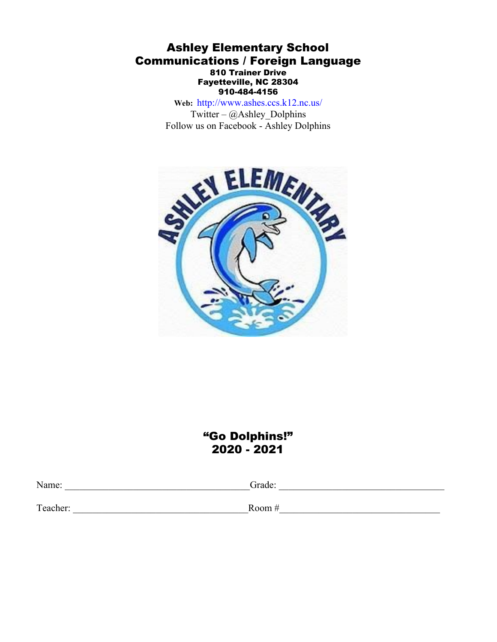# Ashley Elementary School Communications / Foreign Language 810 Trainer Drive Fayetteville, NC 28304 910-484-4156

**Web:** <http://www.ashes.ccs.k12.nc.us/> Twitter –  $\omega$ Ashley Dolphins Follow us on Facebook - Ashley Dolphins



# "Go Dolphins!" 2020 - 2021

Name: \_\_\_\_\_\_\_\_\_\_\_\_\_\_\_\_\_\_\_\_\_\_\_\_\_\_\_\_\_\_\_\_\_\_\_\_\_\_Grade: \_\_\_\_\_\_\_\_\_\_\_\_\_\_\_\_\_\_\_\_\_\_\_\_\_\_\_\_\_\_\_\_\_\_

Teacher: \_\_\_\_\_\_\_\_\_\_\_\_\_\_\_\_\_\_\_\_\_\_\_\_\_\_\_\_\_\_\_\_\_\_\_\_Room #\_\_\_\_\_\_\_\_\_\_\_\_\_\_\_\_\_\_\_\_\_\_\_\_\_\_\_\_\_\_\_\_\_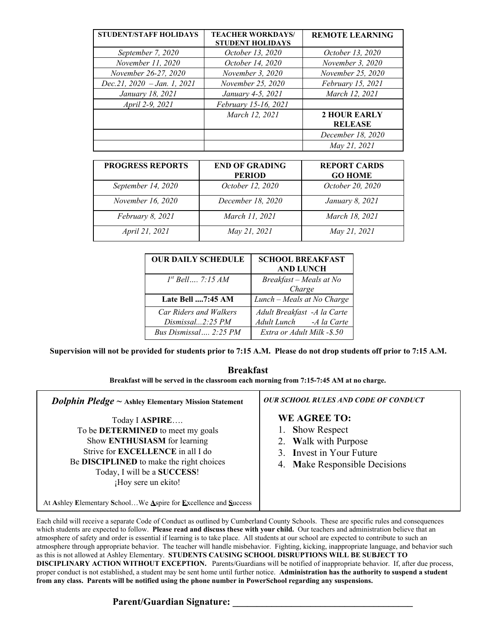| <b>STUDENT/STAFF HOLIDAYS</b>   | <b>TEACHER WORKDAYS/</b><br><b>STUDENT HOLIDAYS</b> | <b>REMOTE LEARNING</b> |
|---------------------------------|-----------------------------------------------------|------------------------|
| September 7, 2020               | October 13, 2020                                    | October 13, 2020       |
| November 11, 2020               | October 14, 2020                                    | November 3, 2020       |
| November 26-27, 2020            | November 3, 2020                                    | November 25, 2020      |
| Dec.21, $2020 - Jan.$ 1, $2021$ | November 25, 2020                                   | February 15, 2021      |
| January 18, 2021                | January 4-5, 2021                                   | March 12, 2021         |
| April 2-9, 2021                 | February 15-16, 2021                                |                        |
|                                 | March 12, 2021                                      | <b>2 HOUR EARLY</b>    |
|                                 |                                                     | <b>RELEASE</b>         |
|                                 |                                                     | December 18, 2020      |
|                                 |                                                     | May 21, 2021           |

| <b>PROGRESS REPORTS</b> | <b>END OF GRADING</b> | <b>REPORT CARDS</b> |
|-------------------------|-----------------------|---------------------|
|                         | <b>PERIOD</b>         | <b>GO HOME</b>      |
| September 14, 2020      | October 12, 2020      | October 20, 2020    |
| November 16, 2020       | December 18, 2020     | January 8, 2021     |
| February 8, 2021        | March 11, 2021        | March 18, 2021      |
| April 21, 2021          | May 21, 2021          | May 21, 2021        |

| <b>OUR DAILY SCHEDULE</b>                  | <b>SCHOOL BREAKFAST</b><br><b>AND LUNCH</b>              |
|--------------------------------------------|----------------------------------------------------------|
| $I^{st}$ Bell, 7:15 AM                     | Breakfast - Meals at No<br>Charge                        |
| Late Bell 7:45 AM                          | Lunch – Meals at No Charge                               |
| Car Riders and Walkers<br>Dismissal2:25 PM | Adult Breakfast - A la Carte<br>Adult Lunch - A la Carte |
| Bus Dismissal  2:25 PM                     | Extra or Adult Milk - \$.50                              |

Supervision will not be provided for students prior to 7:15 A.M. Please do not drop students off prior to 7:15 A.M.

# **Breakfast**

**Breakfast will be served in the classroom each morning from 7:15-7:45 AM at no charge.**

| <b>Dolphin Pledge</b> $\sim$ Ashley Elementary Mission Statement                                                                                                                                                                  | <b>OUR SCHOOL RULES AND CODE OF CONDUCT</b>                                                                                                                               |
|-----------------------------------------------------------------------------------------------------------------------------------------------------------------------------------------------------------------------------------|---------------------------------------------------------------------------------------------------------------------------------------------------------------------------|
| Today I ASPIRE<br>To be DETERMINED to meet my goals<br>Show ENTHUSIASM for learning<br>Strive for <b>EXCELLENCE</b> in all I do<br>Be DISCIPLINED to make the right choices<br>Today, I will be a SUCCESS!<br>¡Hoy sere un ekito! | <b>WE AGREE TO:</b><br><b>Show Respect</b><br>$\mathbf{1}_{\mathbf{1}_{\mathbf{1}}}$<br>2. Walk with Purpose<br>3. Invest in Your Future<br>4. Make Responsible Decisions |

At **A**shley **E**lementary **S**chool…We **A**spire for **E**xcellence and **S**uccess

Each child will receive a separate Code of Conduct as outlined by Cumberland County Schools. These are specific rules and consequences which students are expected to follow. **Please read and discuss these with your child.** Our teachers and administration believe that an atmosphere of safety and order is essential if learning is to take place. All students at our school are expected to contribute to such an atmosphere through appropriate behavior. The teacher will handle misbehavior. Fighting, kicking, inappropriate language, and behavior such as this is not allowed at Ashley Elementary. **STUDENTS CAUSING SCHOOL DISRUPTIONS WILL BE SUBJECT TO DISCIPLINARY ACTION WITHOUT EXCEPTION.** Parents/Guardians will be notified of inappropriate behavior. If, after due process, proper conduct is not established, a student may be sent home until further notice. **Administration has the authority to suspend a student from any class. Parents will be notified using the phone number in PowerSchool regarding any suspensions.**

# Parent/Guardian Signature: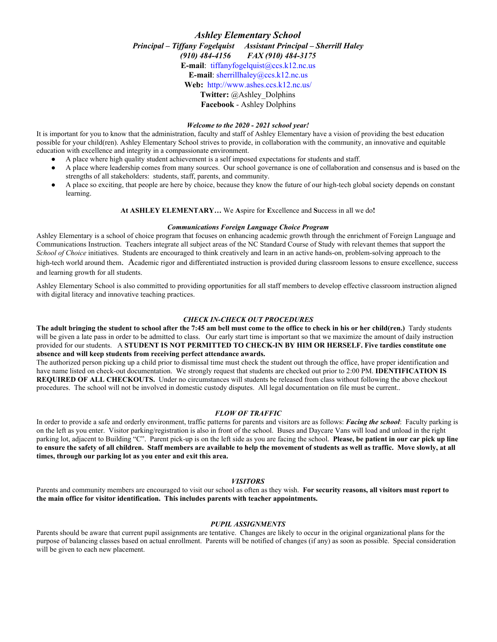# *Ashley Elementary School Principal – Tif any Fogelquist Assistant Principal – Sherrill Haley (910) 484-4156 FAX (910) 484-3175* **E-mail**: [tiffanyfogelquist@ccs.k12.nc.us](mailto:tiffanyfogelquist@ccs.k12.nc.us) **E-mail**: [sherrillhaley@ccs.k12.nc.us](mailto:sherrillhaley@ccs.k12.nc.us) **Web:** <http://www.ashes.ccs.k12.nc.us/> **Twitter:** @Ashley\_Dolphins **Facebook** - Ashley Dolphins

#### *Welcome to the 2020 - 2021 school year!*

It is important for you to know that the administration, faculty and staff of Ashley Elementary have a vision of providing the best education possible for your child(ren). Ashley Elementary School strives to provide, in collaboration with the community, an innovative and equitable education with excellence and integrity in a compassionate environment.

- A place where high quality student achievement is a self imposed expectations for students and staff.
- A place where leadership comes from many sources. Our school governance is one of collaboration and consensus and is based on the strengths of all stakeholders: students, staff, parents, and community.
- A place so exciting, that people are here by choice, because they know the future of our high-tech global society depends on constant learning.

#### **At ASHLEY ELEMENTARY…** We **A**spire for **E**xcellence and **S**uccess in all we do**!**

#### *Communications Foreign Language Choice Program*

Ashley Elementary is a school of choice program that focuses on enhancing academic growth through the enrichment of Foreign Language and Communications Instruction. Teachers integrate all subject areas of the NC Standard Course of Study with relevant themes that support the *School of Choice* initiatives. Students are encouraged to think creatively and learn in an active hands-on, problem-solving approach to the high-tech world around them. Academic rigor and differentiated instruction is provided during classroom lessons to ensure excellence, success and learning growth for all students.

Ashley Elementary School is also committed to providing opportunities for all staff members to develop effective classroom instruction aligned with digital literacy and innovative teaching practices.

#### *CHECK IN-CHECK OUT PROCEDURES*

**The adult bringing the student to school after the 7:45 am bell must come to the office to check in his or her child(ren.)** Tardy students will be given a late pass in order to be admitted to class. Our early start time is important so that we maximize the amount of daily instruction provided for our students. A **STUDENT IS NOT PERMITTED TO CHECK-IN BY HIM OR HERSELF. Five tardies constitute one absence and will keep students from receiving perfect attendance awards.**

The authorized person picking up a child prior to dismissal time must check the student out through the office, have proper identification and have name listed on check-out documentation. We strongly request that students are checked out prior to 2:00 PM. **IDENTIFICATION IS REQUIRED OF ALL CHECKOUTS.** Under no circumstances will students be released from class without following the above checkout procedures. The school will not be involved in domestic custody disputes. All legal documentation on file must be current..

#### *FLOW OF TRAFFIC*

In order to provide a safe and orderly environment, traffic patterns for parents and visitors are as follows: *Facing the school*: Faculty parking is on the left as you enter. Visitor parking/registration is also in front of the school. Buses and Daycare Vans will load and unload in the right parking lot, adjacent to Building "C". Parent pick-up is on the left side as you are facing the school. **Please, be patient in our car pick up line to ensure the safety of all children. Staff members are available to help the movement of students as well as traffic. Move slowly, at all times, through our parking lot as you enter and exit this area.**

#### *VISITORS*

Parents and community members are encouraged to visit our school as often as they wish. **For security reasons, all visitors must report to the main office for visitor identification. This includes parents with teacher appointments.**

#### *PUPIL ASSIGNMENTS*

Parents should be aware that current pupil assignments are tentative. Changes are likely to occur in the original organizational plans for the purpose of balancing classes based on actual enrollment. Parents will be notified of changes (if any) as soon as possible. Special consideration will be given to each new placement.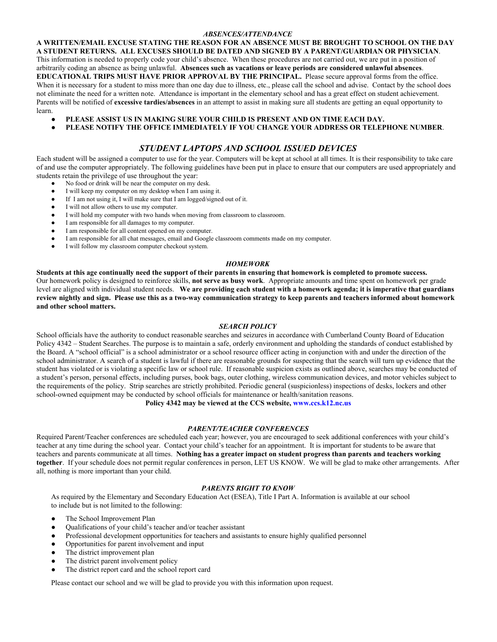#### *ABSENCES/ATTENDANCE*

**A WRITTEN/EMAIL EXCUSE STATING THE REASON FOR AN ABSENCE MUST BE BROUGHT TO SCHOOL ON THE DAY A STUDENT RETURNS. ALL EXCUSES SHOULD BE DATED AND SIGNED BY A PARENT/GUARDIAN OR PHYSICIAN**. This information is needed to properly code your child's absence. When these procedures are not carried out, we are put in a position of arbitrarily coding an absence as being unlawful. **Absences such as vacations or leave periods are considered unlawful absences**. **EDUCATIONAL TRIPS MUST HAVE PRIOR APPROVAL BY THE PRINCIPAL.** Please secure approval forms from the office. When it is necessary for a student to miss more than one day due to illness, etc., please call the school and advise. Contact by the school does not eliminate the need for a written note. Attendance is important in the elementary school and has a great effect on student achievement. Parents will be notified of **excessive tardies/absences** in an attempt to assist in making sure all students are getting an equal opportunity to learn.

- PLEASE ASSIST US IN MAKING SURE YOUR CHILD IS PRESENT AND ON TIME EACH DAY.
- **PLEASE NOTIFY THE OFFICE IMMEDIATELY IF YOU CHANGE YOUR ADDRESS OR TELEPHONE NUMBER**.

## *STUDENT LAPTOPS AND SCHOOL ISSUED DEVICES*

Each student will be assigned a computer to use for the year. Computers will be kept at school at all times. It is their responsibility to take care of and use the computer appropriately. The following guidelines have been put in place to ensure that our computers are used appropriately and students retain the privilege of use throughout the year:

- No food or drink will be near the computer on my desk.
- I will keep my computer on my desktop when I am using it.
- If I am not using it, I will make sure that I am logged/signed out of it.
- I will not allow others to use my computer.
- I will hold my computer with two hands when moving from classroom to classroom.
- I am responsible for all damages to my computer.
- I am responsible for all content opened on my computer.
- I am responsible for all chat messages, email and Google classroom comments made on my computer.
- I will follow my classroom computer checkout system.

#### *HOMEWORK*

**Students at this age continually need the support of their parents in ensuring that homework is completed to promote success.** Our homework policy is designed to reinforce skills, **not serve as busy work**. Appropriate amounts and time spent on homework per grade level are aligned with individual student needs. **We are providing each student with a homework agenda; it is imperative that guardians review nightly and sign. Please use this as a two-way communication strategy to keep parents and teachers informed about homework and other school matters.**

#### *SEARCH POLICY*

School officials have the authority to conduct reasonable searches and seizures in accordance with Cumberland County Board of Education Policy 4342 – Student Searches. The purpose is to maintain a safe, orderly environment and upholding the standards of conduct established by the Board. A "school official" is a school administrator or a school resource officer acting in conjunction with and under the direction of the school administrator. A search of a student is lawful if there are reasonable grounds for suspecting that the search will turn up evidence that the student has violated or is violating a specific law or school rule. If reasonable suspicion exists as outlined above, searches may be conducted of a student's person, personal effects, including purses, book bags, outer clothing, wireless communication devices, and motor vehicles subject to the requirements of the policy. Strip searches are strictly prohibited. Periodic general (suspicionless) inspections of desks, lockers and other school-owned equipment may be conducted by school officials for maintenance or health/sanitation reasons.

**Policy 4342 may be viewed at the CCS website, www.ccs.k12.nc.us**

#### *PARENT/TEACHER CONFERENCES*

Required Parent/Teacher conferences are scheduled each year; however, you are encouraged to seek additional conferences with your child's teacher at any time during the school year. Contact your child's teacher for an appointment. It is important for students to be aware that teachers and parents communicate at all times. **Nothing has a greater impact on student progress than parents and teachers working together**. If your schedule does not permit regular conferences in person, LET US KNOW. We will be glad to make other arrangements. After all, nothing is more important than your child.

#### *PARENTS RIGHT TO KNOW*

As required by the Elementary and Secondary Education Act (ESEA), Title I Part A. Information is available at our school to include but is not limited to the following:

- The School Improvement Plan
- Qualifications of your child's teacher and/or teacher assistant
- Professional development opportunities for teachers and assistants to ensure highly qualified personnel
- Opportunities for parent involvement and input
- The district improvement plan
- The district parent involvement policy
- The district report card and the school report card

Please contact our school and we will be glad to provide you with this information upon request.